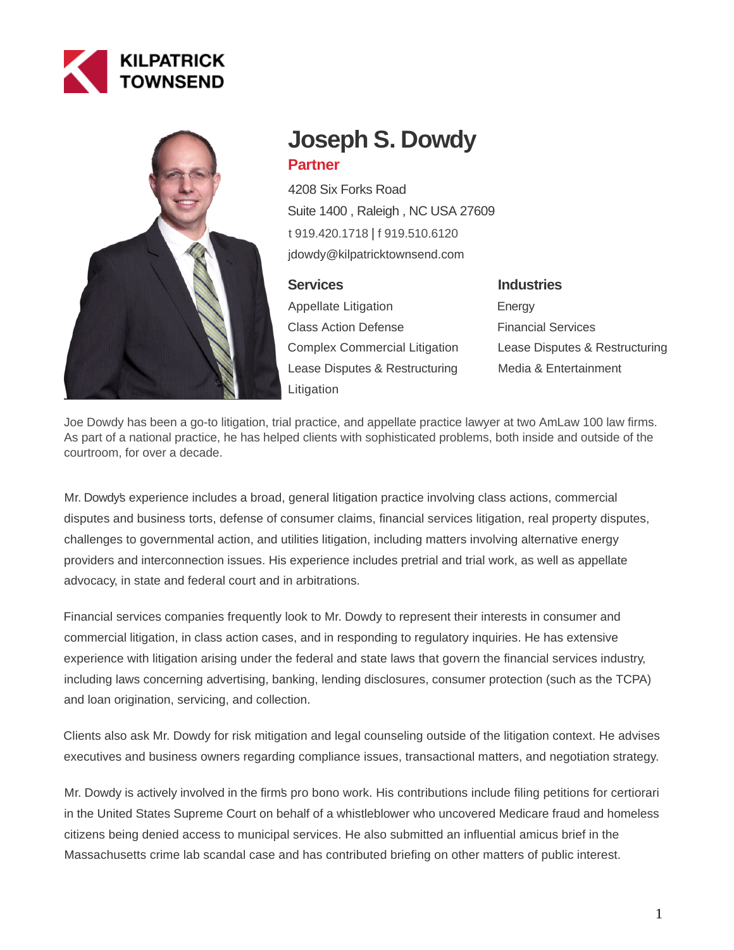



# **Joseph S. Dowdy Partner**

4208 Six Forks Road Suite 1400 , Raleigh , NC USA 27609 [t 919.420.1718](tel:919.420.1718) | [f 919.510.6120](fax:919.510.6120) jdowdy@kilpatricktownsend.com

# **Services**

Appellate Litigation Class Action Defense Complex Commercial Litigation Lease Disputes & Restructuring Litigation

# **Industries** Energy Financial Services Lease Disputes & Restructuring Media & Entertainment

Joe Dowdy has been a go-to litigation, trial practice, and appellate practice lawyer at two AmLaw 100 law firms. As part of a national practice, he has helped clients with sophisticated problems, both inside and outside of the courtroom, for over a decade.

Mr. Dowdy's experience includes a broad, general litigation practice involving class actions, commercial disputes and business torts, defense of consumer claims, financial services litigation, real property disputes, challenges to governmental action, and utilities litigation, including matters involving alternative energy providers and interconnection issues. His experience includes pretrial and trial work, as well as appellate advocacy, in state and federal court and in arbitrations.

Financial services companies frequently look to Mr. Dowdy to represent their interests in consumer and commercial litigation, in class action cases, and in responding to regulatory inquiries. He has extensive experience with litigation arising under the federal and state laws that govern the financial services industry, including laws concerning advertising, banking, lending disclosures, consumer protection (such as the TCPA) and loan origination, servicing, and collection.

Clients also ask Mr. Dowdy for risk mitigation and legal counseling outside of the litigation context. He advises executives and business owners regarding compliance issues, transactional matters, and negotiation strategy.

Mr. Dowdy is actively involved in the firm's pro bono work. His contributions include filing petitions for certiorari in the United States Supreme Court on behalf of a whistleblower who uncovered Medicare fraud and homeless citizens being denied access to municipal services. He also submitted an influential amicus brief in the Massachusetts crime lab scandal case and has contributed briefing on other matters of public interest.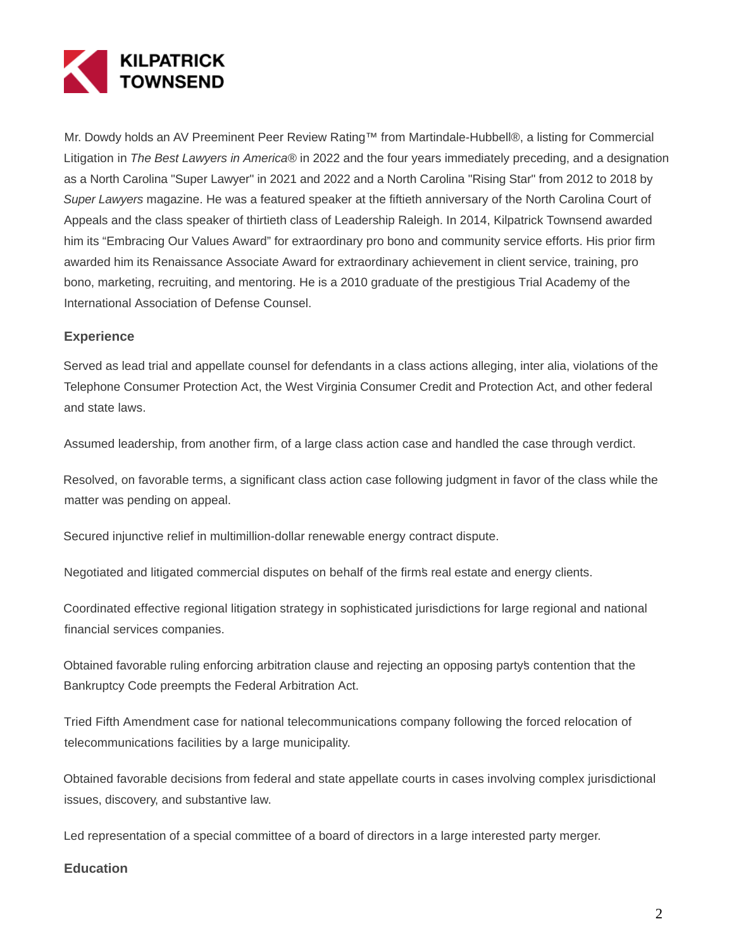

Mr. Dowdy holds an AV Preeminent Peer Review Rating™ from Martindale-Hubbell®, a listing for Commercial Litigation in The Best Lawyers in America® in 2022 and the four years immediately preceding, and a designation as a North Carolina "Super Lawyer" in 2021 and 2022 and a North Carolina "Rising Star" from 2012 to 2018 by Super Lawyers magazine. He was a featured speaker at the fiftieth anniversary of the North Carolina Court of Appeals and the class speaker of thirtieth class of Leadership Raleigh. In 2014, Kilpatrick Townsend awarded him its "Embracing Our Values Award" for extraordinary pro bono and community service efforts. His prior firm awarded him its Renaissance Associate Award for extraordinary achievement in client service, training, pro bono, marketing, recruiting, and mentoring. He is a 2010 graduate of the prestigious Trial Academy of the International Association of Defense Counsel.

#### **Experience**

Served as lead trial and appellate counsel for defendants in a class actions alleging, inter alia, violations of the Telephone Consumer Protection Act, the West Virginia Consumer Credit and Protection Act, and other federal and state laws.

Assumed leadership, from another firm, of a large class action case and handled the case through verdict.

Resolved, on favorable terms, a significant class action case following judgment in favor of the class while the matter was pending on appeal.

Secured injunctive relief in multimillion-dollar renewable energy contract dispute.

Negotiated and litigated commercial disputes on behalf of the firm's real estate and energy clients.

Coordinated effective regional litigation strategy in sophisticated jurisdictions for large regional and national financial services companies.

Obtained favorable ruling enforcing arbitration clause and rejecting an opposing party's contention that the Bankruptcy Code preempts the Federal Arbitration Act.

Tried Fifth Amendment case for national telecommunications company following the forced relocation of telecommunications facilities by a large municipality.

Obtained favorable decisions from federal and state appellate courts in cases involving complex jurisdictional issues, discovery, and substantive law.

Led representation of a special committee of a board of directors in a large interested party merger.

#### **Education**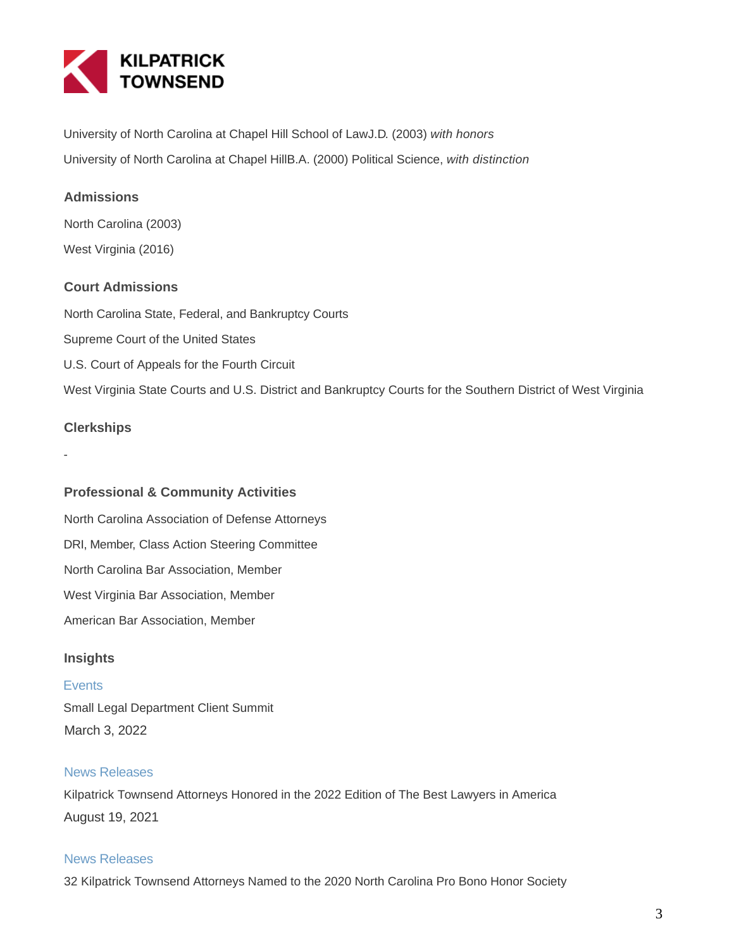

University of North Carolina at Chapel Hill School of LawJ.D. (2003) with honors University of North Carolina at Chapel HillB.A. (2000) Political Science, with distinction

# **Admissions**

North Carolina (2003) West Virginia (2016)

# **Court Admissions**

North Carolina State, Federal, and Bankruptcy Courts Supreme Court of the United States U.S. Court of Appeals for the Fourth Circuit West Virginia State Courts and U.S. District and Bankruptcy Courts for the Southern District of West Virginia

#### **Clerkships**

-

## **Professional & Community Activities**

North Carolina Association of Defense Attorneys DRI, Member, Class Action Steering Committee North Carolina Bar Association, Member West Virginia Bar Association, Member American Bar Association, Member

## **Insights**

#### **Events**

Small Legal Department Client Summit March 3, 2022

# News Releases

Kilpatrick Townsend Attorneys Honored in the 2022 Edition of The Best Lawyers in America August 19, 2021

#### News Releases

32 Kilpatrick Townsend Attorneys Named to the 2020 North Carolina Pro Bono Honor Society